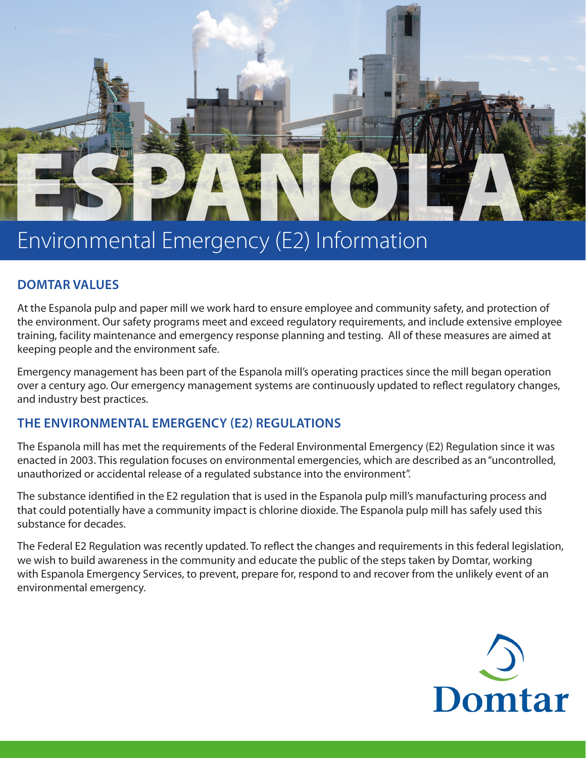

# Environmental Emergency (E2) Information

## **DOMTAR VALUES**

At the Espanola pulp and paper mill we work hard to ensure employee and community safety, and protection of the environment. Our safety programs meet and exceed regulatory requirements, and include extensive employee training, facility maintenance and emergency response planning and testing. All of these measures are aimed at keeping people and the environment safe.

Emergency management has been part of the Espanola mill's operating practices since the mill began operation over a century ago. Our emergency management systems are continuously updated to reflect regulatory changes, and industry best practices.

## **THE ENVIRONMENTAL EMERGENCY (E2) REGULATIONS**

The Espanola mill has met the requirements of the Federal Environmental Emergency (E2) Regulation since it was enacted in 2003. This regulation focuses on environmental emergencies, which are described as an "uncontrolled, unauthorized or accidental release of a regulated substance into the environment".

The substance identified in the E2 regulation that is used in the Espanola pulp mill's manufacturing process and that could potentially have a community impact is chlorine dioxide. The Espanola pulp mill has safely used this substance for decades.

The Federal E2 Regulation was recently updated. To reflect the changes and requirements in this federal legislation, we wish to build awareness in the community and educate the public of the steps taken by Domtar, working with Espanola Emergency Services, to prevent, prepare for, respond to and recover from the unlikely event of an environmental emergency.